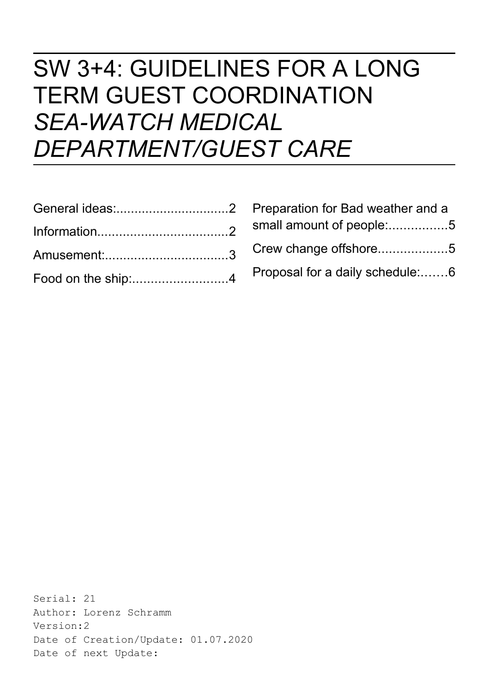# SW 3+4: GUIDELINES FOR A LONG TERM GUEST COORDINATION *SEA-WATCH MEDICAL DEPARTMENT/GUEST CARE*

| Food on the ship:4 |  |
|--------------------|--|

| Preparation for Bad weather and a |
|-----------------------------------|
| small amount of people:5          |
| Crew change offshore5             |
| Proposal for a daily schedule:6   |

Serial: 21 Author: Lorenz Schramm Version:2 Date of Creation/Update: 01.07.2020 Date of next Update: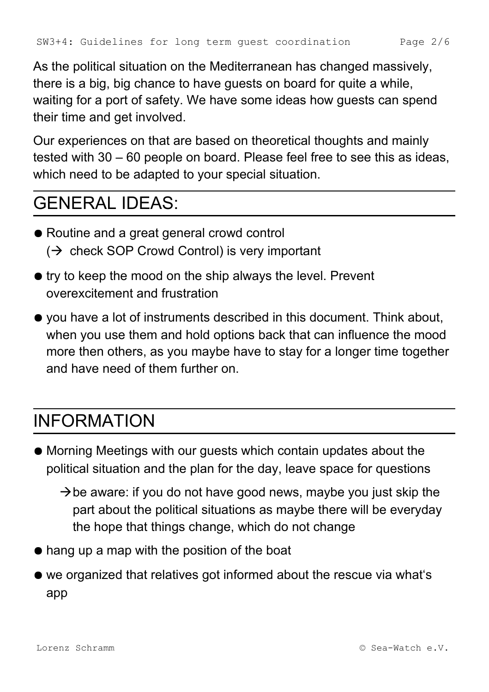As the political situation on the Mediterranean has changed massively, there is a big, big chance to have guests on board for quite a while, waiting for a port of safety. We have some ideas how guests can spend their time and get involved.

Our experiences on that are based on theoretical thoughts and mainly tested with 30 – 60 people on board. Please feel free to see this as ideas, which need to be adapted to your special situation.

### <span id="page-1-0"></span>GENERAL IDEAS:

- Routine and a great general crowd control  $\rightarrow$  check SOP Crowd Control) is very important
- try to keep the mood on the ship always the level. Prevent overexcitement and frustration
- you have a lot of instruments described in this document. Think about, when you use them and hold options back that can influence the mood more then others, as you maybe have to stay for a longer time together and have need of them further on.

### <span id="page-1-1"></span>INFORMATION

- Morning Meetings with our guests which contain updates about the political situation and the plan for the day, leave space for questions
	- $\rightarrow$  be aware: if you do not have good news, maybe you just skip the part about the political situations as maybe there will be everyday the hope that things change, which do not change
- hang up a map with the position of the boat
- we organized that relatives got informed about the rescue via what's app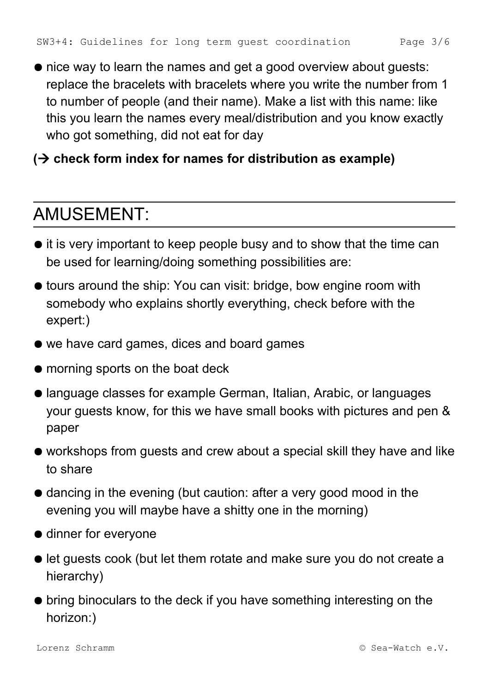● nice way to learn the names and get a good overview about guests: replace the bracelets with bracelets where you write the number from 1 to number of people (and their name). Make a list with this name: like this you learn the names every meal/distribution and you know exactly who got something, did not eat for day

#### **( check form index for names for distribution as example)**

#### <span id="page-2-0"></span>AMUSEMENT:

- it is very important to keep people busy and to show that the time can be used for learning/doing something possibilities are:
- tours around the ship: You can visit: bridge, bow engine room with somebody who explains shortly everything, check before with the expert:)
- we have card games, dices and board games
- morning sports on the boat deck
- language classes for example German, Italian, Arabic, or languages your guests know, for this we have small books with pictures and pen & paper
- workshops from guests and crew about a special skill they have and like to share
- dancing in the evening (but caution: after a very good mood in the evening you will maybe have a shitty one in the morning)
- dinner for everyone
- let guests cook (but let them rotate and make sure you do not create a hierarchy)
- bring binoculars to the deck if you have something interesting on the horizon:)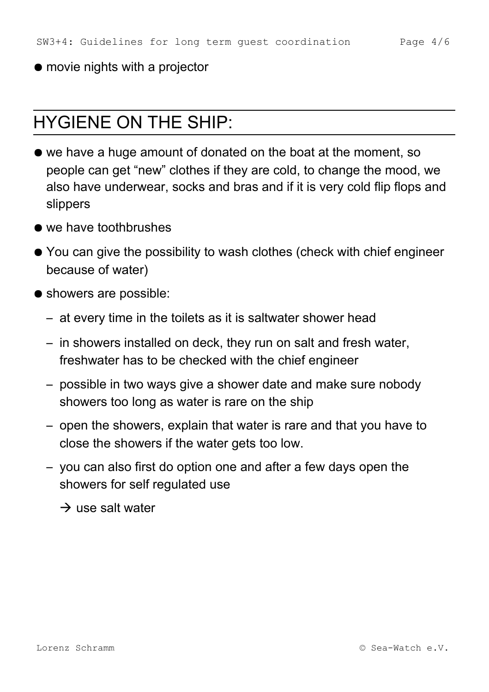#### ● movie nights with a projector

#### HYGIENE ON THE SHIP:

- we have a huge amount of donated on the boat at the moment, so people can get "new" clothes if they are cold, to change the mood, we also have underwear, socks and bras and if it is very cold flip flops and slippers
- we have toothbrushes
- You can give the possibility to wash clothes (check with chief engineer because of water)
- showers are possible:
	- at every time in the toilets as it is saltwater shower head
	- in showers installed on deck, they run on salt and fresh water, freshwater has to be checked with the chief engineer
	- possible in two ways give a shower date and make sure nobody showers too long as water is rare on the ship
	- open the showers, explain that water is rare and that you have to close the showers if the water gets too low.
	- you can also first do option one and after a few days open the showers for self regulated use

 $\rightarrow$  use salt water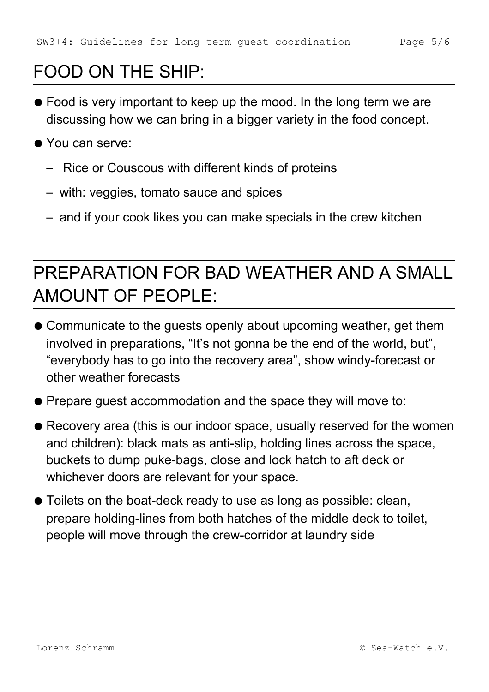# <span id="page-4-1"></span>FOOD ON THE SHIP:

- Food is very important to keep up the mood. In the long term we are discussing how we can bring in a bigger variety in the food concept.
- You can serve:
	- Rice or Couscous with different kinds of proteins
	- with: veggies, tomato sauce and spices
	- and if your cook likes you can make specials in the crew kitchen

# <span id="page-4-0"></span>PREPARATION FOR BAD WEATHER AND A SMALL AMOUNT OF PEOPLE:

- Communicate to the guests openly about upcoming weather, get them involved in preparations, "It's not gonna be the end of the world, but", "everybody has to go into the recovery area", show windy-forecast or other weather forecasts
- Prepare guest accommodation and the space they will move to:
- Recovery area (this is our indoor space, usually reserved for the women and children): black mats as anti-slip, holding lines across the space, buckets to dump puke-bags, close and lock hatch to aft deck or whichever doors are relevant for your space.
- Toilets on the boat-deck ready to use as long as possible: clean, prepare holding-lines from both hatches of the middle deck to toilet, people will move through the crew-corridor at laundry side